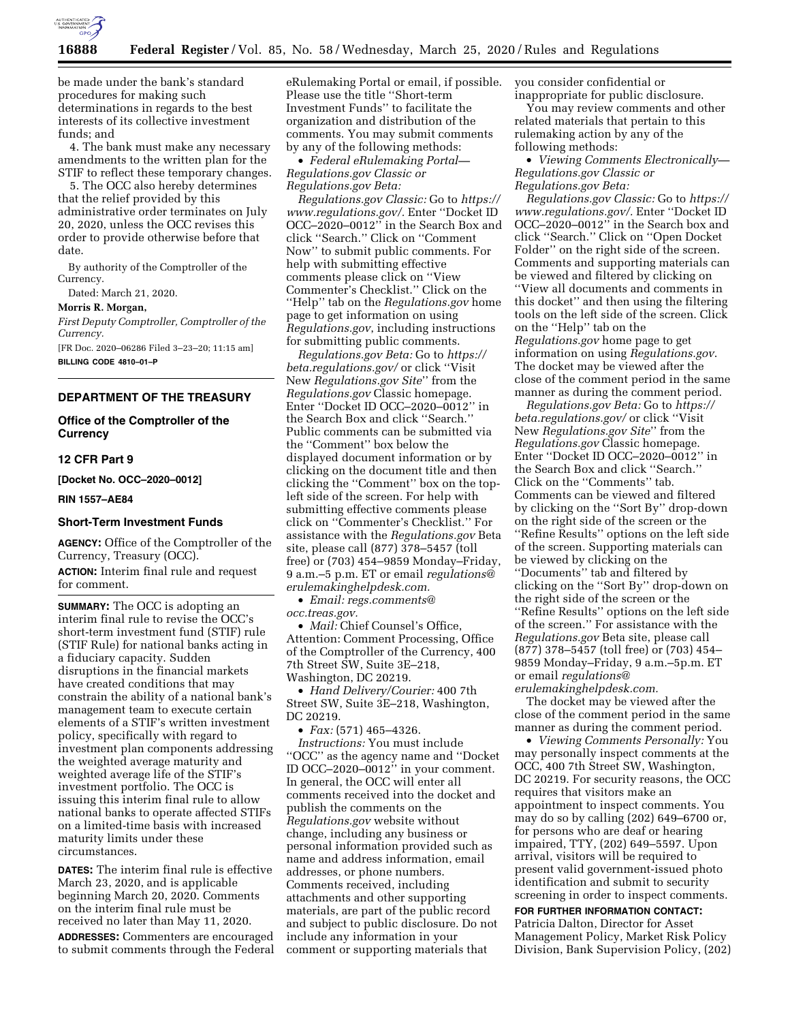

be made under the bank's standard procedures for making such determinations in regards to the best interests of its collective investment funds; and

4. The bank must make any necessary amendments to the written plan for the STIF to reflect these temporary changes.

5. The OCC also hereby determines that the relief provided by this administrative order terminates on July 20, 2020, unless the OCC revises this order to provide otherwise before that date.

By authority of the Comptroller of the Currency.

Dated: March 21, 2020.

### **Morris R. Morgan,**

*First Deputy Comptroller, Comptroller of the Currency.* 

[FR Doc. 2020–06286 Filed 3–23–20; 11:15 am] **BILLING CODE 4810–01–P** 

# **DEPARTMENT OF THE TREASURY**

## **Office of the Comptroller of the Currency**

## **12 CFR Part 9**

**[Docket No. OCC–2020–0012]** 

#### **RIN 1557–AE84**

## **Short-Term Investment Funds**

**AGENCY:** Office of the Comptroller of the Currency, Treasury (OCC). **ACTION:** Interim final rule and request for comment.

**SUMMARY:** The OCC is adopting an interim final rule to revise the OCC's short-term investment fund (STIF) rule (STIF Rule) for national banks acting in a fiduciary capacity. Sudden disruptions in the financial markets have created conditions that may constrain the ability of a national bank's management team to execute certain elements of a STIF's written investment policy, specifically with regard to investment plan components addressing the weighted average maturity and weighted average life of the STIF's investment portfolio. The OCC is issuing this interim final rule to allow national banks to operate affected STIFs on a limited-time basis with increased maturity limits under these circumstances.

**DATES:** The interim final rule is effective March 23, 2020, and is applicable beginning March 20, 2020. Comments on the interim final rule must be received no later than May 11, 2020.

**ADDRESSES:** Commenters are encouraged to submit comments through the Federal eRulemaking Portal or email, if possible. Please use the title ''Short-term Investment Funds'' to facilitate the organization and distribution of the comments. You may submit comments by any of the following methods:

• *Federal eRulemaking Portal— Regulations.gov Classic or Regulations.gov Beta:* 

*Regulations.gov Classic:* Go to *[https://](https://www.regulations.gov/)  [www.regulations.gov/.](https://www.regulations.gov/)* Enter ''Docket ID OCC–2020–0012'' in the Search Box and click ''Search.'' Click on ''Comment Now'' to submit public comments. For help with submitting effective comments please click on ''View Commenter's Checklist.'' Click on the ''Help'' tab on the *Regulations.gov* home page to get information on using *Regulations.gov*, including instructions for submitting public comments.

*Regulations.gov Beta:* Go to *[https://](https://beta.regulations.gov/) [beta.regulations.gov/](https://beta.regulations.gov/)* or click ''Visit New *Regulations.gov Site*'' from the *Regulations.gov* Classic homepage. Enter ''Docket ID OCC–2020–0012'' in the Search Box and click ''Search.'' Public comments can be submitted via the ''Comment'' box below the displayed document information or by clicking on the document title and then clicking the ''Comment'' box on the topleft side of the screen. For help with submitting effective comments please click on ''Commenter's Checklist.'' For assistance with the *Regulations.gov* Beta site, please call (877) 378–5457 (toll free) or (703) 454–9859 Monday–Friday, 9 a.m.–5 p.m. ET or email *[regulations@](mailto:regulations@erulemakinghelpdesk.com) [erulemakinghelpdesk.com.](mailto:regulations@erulemakinghelpdesk.com)* 

• *Email: [regs.comments@](mailto:regs.comments@occ.treas.gov)*

*[occ.treas.gov.](mailto:regs.comments@occ.treas.gov)*  • *Mail:* Chief Counsel's Office, Attention: Comment Processing, Office

of the Comptroller of the Currency, 400 7th Street SW, Suite 3E–218, Washington, DC 20219.

• *Hand Delivery/Courier:* 400 7th Street SW, Suite 3E–218, Washington, DC 20219.

• *Fax:* (571) 465–4326.

*Instructions:* You must include ''OCC'' as the agency name and ''Docket ID OCC–2020–0012'' in your comment. In general, the OCC will enter all comments received into the docket and publish the comments on the *Regulations.gov* website without change, including any business or personal information provided such as name and address information, email addresses, or phone numbers. Comments received, including attachments and other supporting materials, are part of the public record and subject to public disclosure. Do not include any information in your comment or supporting materials that

you consider confidential or inappropriate for public disclosure.

You may review comments and other related materials that pertain to this rulemaking action by any of the following methods:

• *Viewing Comments Electronically— Regulations.gov Classic or Regulations.gov Beta:* 

*Regulations.gov Classic:* Go to *[https://](https://www.regulations.gov/)  [www.regulations.gov/.](https://www.regulations.gov/)* Enter ''Docket ID OCC–2020–0012'' in the Search box and click ''Search.'' Click on ''Open Docket Folder'' on the right side of the screen. Comments and supporting materials can be viewed and filtered by clicking on ''View all documents and comments in this docket'' and then using the filtering tools on the left side of the screen. Click on the ''Help'' tab on the *Regulations.gov* home page to get information on using *Regulations.gov*. The docket may be viewed after the close of the comment period in the same manner as during the comment period.

*Regulations.gov Beta:* Go to *[https://](https://beta.regulations.gov/) [beta.regulations.gov/](https://beta.regulations.gov/)* or click ''Visit New *Regulations.gov Site*'' from the *Regulations.gov* Classic homepage. Enter ''Docket ID OCC–2020–0012'' in the Search Box and click ''Search.'' Click on the ''Comments'' tab. Comments can be viewed and filtered by clicking on the ''Sort By'' drop-down on the right side of the screen or the ''Refine Results'' options on the left side of the screen. Supporting materials can be viewed by clicking on the ''Documents'' tab and filtered by clicking on the ''Sort By'' drop-down on the right side of the screen or the ''Refine Results'' options on the left side of the screen.'' For assistance with the *Regulations.gov* Beta site, please call (877) 378–5457 (toll free) or (703) 454– 9859 Monday–Friday, 9 a.m.–5p.m. ET or email *[regulations@](mailto:regulations@erulemakinghelpdesk.com) [erulemakinghelpdesk.com.](mailto:regulations@erulemakinghelpdesk.com)* 

The docket may be viewed after the close of the comment period in the same manner as during the comment period.

• *Viewing Comments Personally:* You may personally inspect comments at the OCC, 400 7th Street SW, Washington, DC 20219. For security reasons, the OCC requires that visitors make an appointment to inspect comments. You may do so by calling (202) 649–6700 or, for persons who are deaf or hearing impaired, TTY, (202) 649–5597. Upon arrival, visitors will be required to present valid government-issued photo identification and submit to security screening in order to inspect comments.

**FOR FURTHER INFORMATION CONTACT:**  Patricia Dalton, Director for Asset Management Policy, Market Risk Policy Division, Bank Supervision Policy, (202)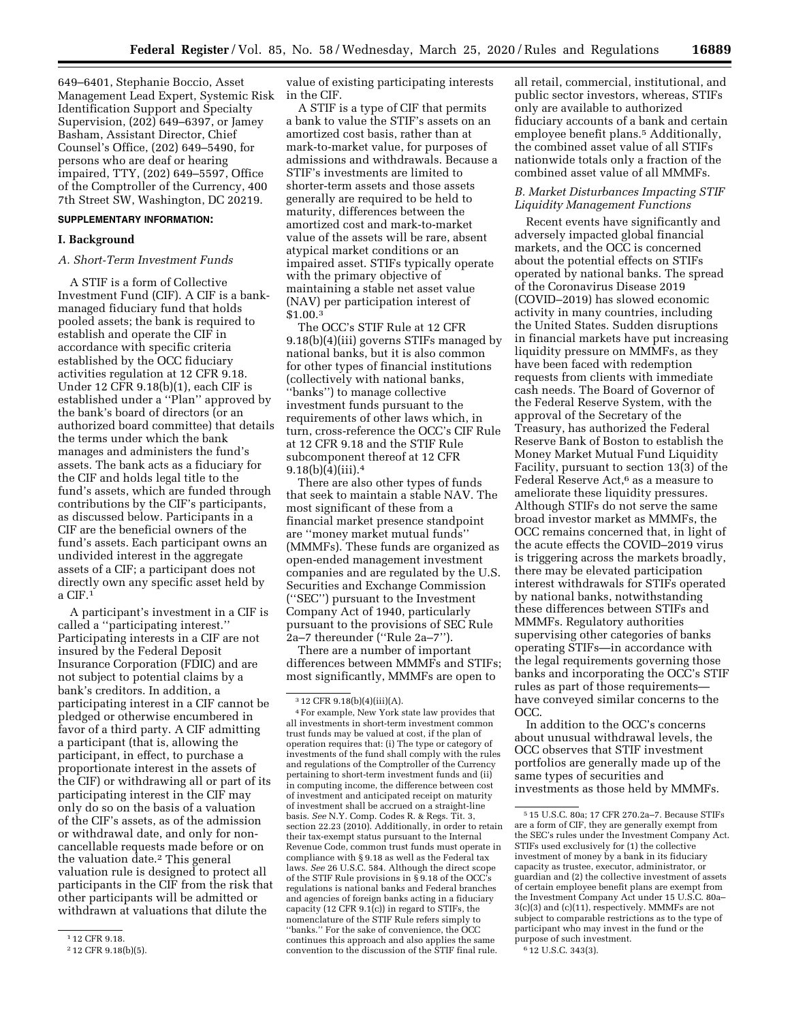649–6401, Stephanie Boccio, Asset Management Lead Expert, Systemic Risk Identification Support and Specialty Supervision, (202) 649–6397, or Jamey Basham, Assistant Director, Chief Counsel's Office, (202) 649–5490, for persons who are deaf or hearing impaired, TTY, (202) 649–5597, Office of the Comptroller of the Currency, 400 7th Street SW, Washington, DC 20219.

### **SUPPLEMENTARY INFORMATION:**

### **I. Background**

## *A. Short-Term Investment Funds*

A STIF is a form of Collective Investment Fund (CIF). A CIF is a bankmanaged fiduciary fund that holds pooled assets; the bank is required to establish and operate the CIF in accordance with specific criteria established by the OCC fiduciary activities regulation at 12 CFR 9.18. Under 12 CFR 9.18(b)(1), each CIF is established under a ''Plan'' approved by the bank's board of directors (or an authorized board committee) that details the terms under which the bank manages and administers the fund's assets. The bank acts as a fiduciary for the CIF and holds legal title to the fund's assets, which are funded through contributions by the CIF's participants, as discussed below. Participants in a CIF are the beneficial owners of the fund's assets. Each participant owns an undivided interest in the aggregate assets of a CIF; a participant does not directly own any specific asset held by a CIF.1

A participant's investment in a CIF is called a ''participating interest.'' Participating interests in a CIF are not insured by the Federal Deposit Insurance Corporation (FDIC) and are not subject to potential claims by a bank's creditors. In addition, a participating interest in a CIF cannot be pledged or otherwise encumbered in favor of a third party. A CIF admitting a participant (that is, allowing the participant, in effect, to purchase a proportionate interest in the assets of the CIF) or withdrawing all or part of its participating interest in the CIF may only do so on the basis of a valuation of the CIF's assets, as of the admission or withdrawal date, and only for noncancellable requests made before or on the valuation date.2 This general valuation rule is designed to protect all participants in the CIF from the risk that other participants will be admitted or withdrawn at valuations that dilute the

value of existing participating interests in the CIF.

A STIF is a type of CIF that permits a bank to value the STIF's assets on an amortized cost basis, rather than at mark-to-market value, for purposes of admissions and withdrawals. Because a STIF's investments are limited to shorter-term assets and those assets generally are required to be held to maturity, differences between the amortized cost and mark-to-market value of the assets will be rare, absent atypical market conditions or an impaired asset. STIFs typically operate with the primary objective of maintaining a stable net asset value (NAV) per participation interest of \$1.00.3

The OCC's STIF Rule at 12 CFR 9.18(b)(4)(iii) governs STIFs managed by national banks, but it is also common for other types of financial institutions (collectively with national banks, ''banks'') to manage collective investment funds pursuant to the requirements of other laws which, in turn, cross-reference the OCC's CIF Rule at 12 CFR 9.18 and the STIF Rule subcomponent thereof at 12 CFR  $9.18(b)(4)(iii).4$ 

There are also other types of funds that seek to maintain a stable NAV. The most significant of these from a financial market presence standpoint are ''money market mutual funds'' (MMMFs). These funds are organized as open-ended management investment companies and are regulated by the U.S. Securities and Exchange Commission (''SEC'') pursuant to the Investment Company Act of 1940, particularly pursuant to the provisions of SEC Rule 2a–7 thereunder (''Rule 2a–7'').

There are a number of important differences between MMMFs and STIFs; most significantly, MMMFs are open to

all retail, commercial, institutional, and public sector investors, whereas, STIFs only are available to authorized fiduciary accounts of a bank and certain employee benefit plans.<sup>5</sup> Additionally, the combined asset value of all STIFs nationwide totals only a fraction of the combined asset value of all MMMFs.

## *B. Market Disturbances Impacting STIF Liquidity Management Functions*

Recent events have significantly and adversely impacted global financial markets, and the OCC is concerned about the potential effects on STIFs operated by national banks. The spread of the Coronavirus Disease 2019 (COVID–2019) has slowed economic activity in many countries, including the United States. Sudden disruptions in financial markets have put increasing liquidity pressure on MMMFs, as they have been faced with redemption requests from clients with immediate cash needs. The Board of Governor of the Federal Reserve System, with the approval of the Secretary of the Treasury, has authorized the Federal Reserve Bank of Boston to establish the Money Market Mutual Fund Liquidity Facility, pursuant to section 13(3) of the Federal Reserve Act,<sup>6</sup> as a measure to ameliorate these liquidity pressures. Although STIFs do not serve the same broad investor market as MMMFs, the OCC remains concerned that, in light of the acute effects the COVID–2019 virus is triggering across the markets broadly, there may be elevated participation interest withdrawals for STIFs operated by national banks, notwithstanding these differences between STIFs and MMMFs. Regulatory authorities supervising other categories of banks operating STIFs—in accordance with the legal requirements governing those banks and incorporating the OCC's STIF rules as part of those requirements have conveyed similar concerns to the OCC.

In addition to the OCC's concerns about unusual withdrawal levels, the OCC observes that STIF investment portfolios are generally made up of the same types of securities and investments as those held by MMMFs.

<sup>1</sup> 12 CFR 9.18.

<sup>2</sup> 12 CFR 9.18(b)(5).

<sup>3</sup> 12 CFR 9.18(b)(4)(iii)(A).

<sup>4</sup>For example, New York state law provides that all investments in short-term investment common trust funds may be valued at cost, if the plan of operation requires that: (i) The type or category of investments of the fund shall comply with the rules and regulations of the Comptroller of the Currency pertaining to short-term investment funds and (ii) in computing income, the difference between cost of investment and anticipated receipt on maturity of investment shall be accrued on a straight-line basis. *See* N.Y. Comp. Codes R. & Regs. Tit. 3, section 22.23 (2010). Additionally, in order to retain their tax-exempt status pursuant to the Internal Revenue Code, common trust funds must operate in compliance with § 9.18 as well as the Federal tax laws. *See* 26 U.S.C. 584. Although the direct scope of the STIF Rule provisions in § 9.18 of the OCC's regulations is national banks and Federal branches and agencies of foreign banks acting in a fiduciary capacity (12 CFR  $9.1(c)$ ) in regard to STIFs, the nomenclature of the STIF Rule refers simply to ''banks.'' For the sake of convenience, the OCC continues this approach and also applies the same convention to the discussion of the STIF final rule.

<sup>5</sup> 15 U.S.C. 80a; 17 CFR 270.2a–7. Because STIFs are a form of CIF, they are generally exempt from the SEC's rules under the Investment Company Act. STIFs used exclusively for (1) the collective investment of money by a bank in its fiduciary capacity as trustee, executor, administrator, or guardian and (2) the collective investment of assets of certain employee benefit plans are exempt from the Investment Company Act under 15 U.S.C. 80a– 3(c)(3) and (c)(11), respectively. MMMFs are not subject to comparable restrictions as to the type of participant who may invest in the fund or the purpose of such investment.

<sup>6</sup> 12 U.S.C. 343(3).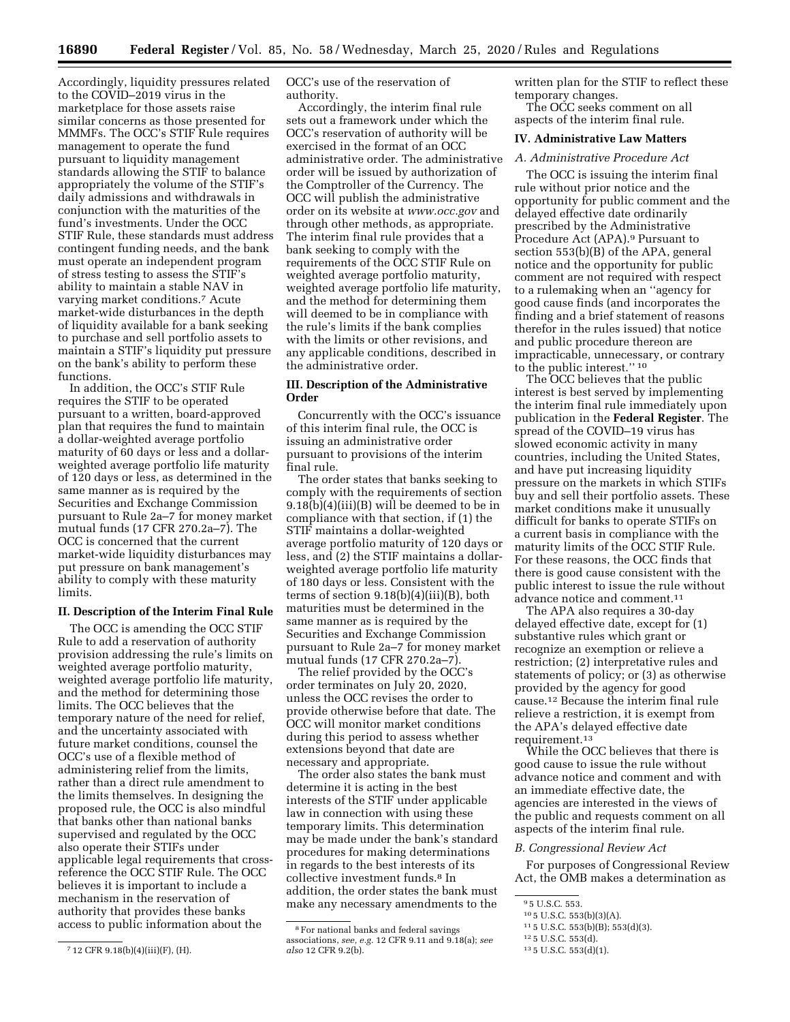Accordingly, liquidity pressures related to the COVID–2019 virus in the marketplace for those assets raise similar concerns as those presented for MMMFs. The OCC's STIF Rule requires management to operate the fund pursuant to liquidity management standards allowing the STIF to balance appropriately the volume of the STIF's daily admissions and withdrawals in conjunction with the maturities of the fund's investments. Under the OCC STIF Rule, these standards must address contingent funding needs, and the bank must operate an independent program of stress testing to assess the STIF's ability to maintain a stable NAV in varying market conditions.7 Acute market-wide disturbances in the depth of liquidity available for a bank seeking to purchase and sell portfolio assets to maintain a STIF's liquidity put pressure on the bank's ability to perform these functions.

In addition, the OCC's STIF Rule requires the STIF to be operated pursuant to a written, board-approved plan that requires the fund to maintain a dollar-weighted average portfolio maturity of 60 days or less and a dollarweighted average portfolio life maturity of 120 days or less, as determined in the same manner as is required by the Securities and Exchange Commission pursuant to Rule 2a–7 for money market mutual funds (17 CFR 270.2a–7). The OCC is concerned that the current market-wide liquidity disturbances may put pressure on bank management's ability to comply with these maturity limits.

### **II. Description of the Interim Final Rule**

The OCC is amending the OCC STIF Rule to add a reservation of authority provision addressing the rule's limits on weighted average portfolio maturity, weighted average portfolio life maturity, and the method for determining those limits. The OCC believes that the temporary nature of the need for relief, and the uncertainty associated with future market conditions, counsel the OCC's use of a flexible method of administering relief from the limits, rather than a direct rule amendment to the limits themselves. In designing the proposed rule, the OCC is also mindful that banks other than national banks supervised and regulated by the OCC also operate their STIFs under applicable legal requirements that crossreference the OCC STIF Rule. The OCC believes it is important to include a mechanism in the reservation of authority that provides these banks access to public information about the

OCC's use of the reservation of authority.

Accordingly, the interim final rule sets out a framework under which the OCC's reservation of authority will be exercised in the format of an OCC administrative order. The administrative order will be issued by authorization of the Comptroller of the Currency. The OCC will publish the administrative order on its website at *[www.occ.gov](http://www.occ.gov)* and through other methods, as appropriate. The interim final rule provides that a bank seeking to comply with the requirements of the OCC STIF Rule on weighted average portfolio maturity, weighted average portfolio life maturity, and the method for determining them will deemed to be in compliance with the rule's limits if the bank complies with the limits or other revisions, and any applicable conditions, described in the administrative order.

### **III. Description of the Administrative Order**

Concurrently with the OCC's issuance of this interim final rule, the OCC is issuing an administrative order pursuant to provisions of the interim final rule.

The order states that banks seeking to comply with the requirements of section 9.18(b)(4)(iii)(B) will be deemed to be in compliance with that section, if (1) the STIF maintains a dollar-weighted average portfolio maturity of 120 days or less, and (2) the STIF maintains a dollarweighted average portfolio life maturity of 180 days or less. Consistent with the terms of section 9.18(b)(4)(iii)(B), both maturities must be determined in the same manner as is required by the Securities and Exchange Commission pursuant to Rule 2a–7 for money market mutual funds (17 CFR 270.2a–7).

The relief provided by the OCC's order terminates on July 20, 2020, unless the OCC revises the order to provide otherwise before that date. The OCC will monitor market conditions during this period to assess whether extensions beyond that date are necessary and appropriate.

The order also states the bank must determine it is acting in the best interests of the STIF under applicable law in connection with using these temporary limits. This determination may be made under the bank's standard procedures for making determinations in regards to the best interests of its collective investment funds.8 In addition, the order states the bank must make any necessary amendments to the

written plan for the STIF to reflect these temporary changes.

The OCC seeks comment on all aspects of the interim final rule.

## **IV. Administrative Law Matters**

# *A. Administrative Procedure Act*

The OCC is issuing the interim final rule without prior notice and the opportunity for public comment and the delayed effective date ordinarily prescribed by the Administrative Procedure Act (APA).9 Pursuant to section 553(b)(B) of the APA, general notice and the opportunity for public comment are not required with respect to a rulemaking when an ''agency for good cause finds (and incorporates the finding and a brief statement of reasons therefor in the rules issued) that notice and public procedure thereon are impracticable, unnecessary, or contrary to the public interest.'' 10

The OCC believes that the public interest is best served by implementing the interim final rule immediately upon publication in the **Federal Register**. The spread of the COVID–19 virus has slowed economic activity in many countries, including the United States, and have put increasing liquidity pressure on the markets in which STIFs buy and sell their portfolio assets. These market conditions make it unusually difficult for banks to operate STIFs on a current basis in compliance with the maturity limits of the OCC STIF Rule. For these reasons, the OCC finds that there is good cause consistent with the public interest to issue the rule without advance notice and comment.11

The APA also requires a 30-day delayed effective date, except for (1) substantive rules which grant or recognize an exemption or relieve a restriction; (2) interpretative rules and statements of policy; or (3) as otherwise provided by the agency for good cause.12 Because the interim final rule relieve a restriction, it is exempt from the APA's delayed effective date requirement.13

While the OCC believes that there is good cause to issue the rule without advance notice and comment and with an immediate effective date, the agencies are interested in the views of the public and requests comment on all aspects of the interim final rule.

#### *B. Congressional Review Act*

For purposes of Congressional Review Act, the OMB makes a determination as

13 5 U.S.C. 553(d)(1).

<sup>7</sup> 12 CFR 9.18(b)(4)(iii)(F), (H).

<sup>8</sup>For national banks and federal savings associations, *see, e.g.* 12 CFR 9.11 and 9.18(a); *see also* 12 CFR 9.2(b).

<sup>9</sup> 5 U.S.C. 553.

<sup>10</sup> 5 U.S.C. 553(b)(3)(A).

<sup>11</sup> 5 U.S.C. 553(b)(B); 553(d)(3).

<sup>12</sup> 5 U.S.C. 553(d).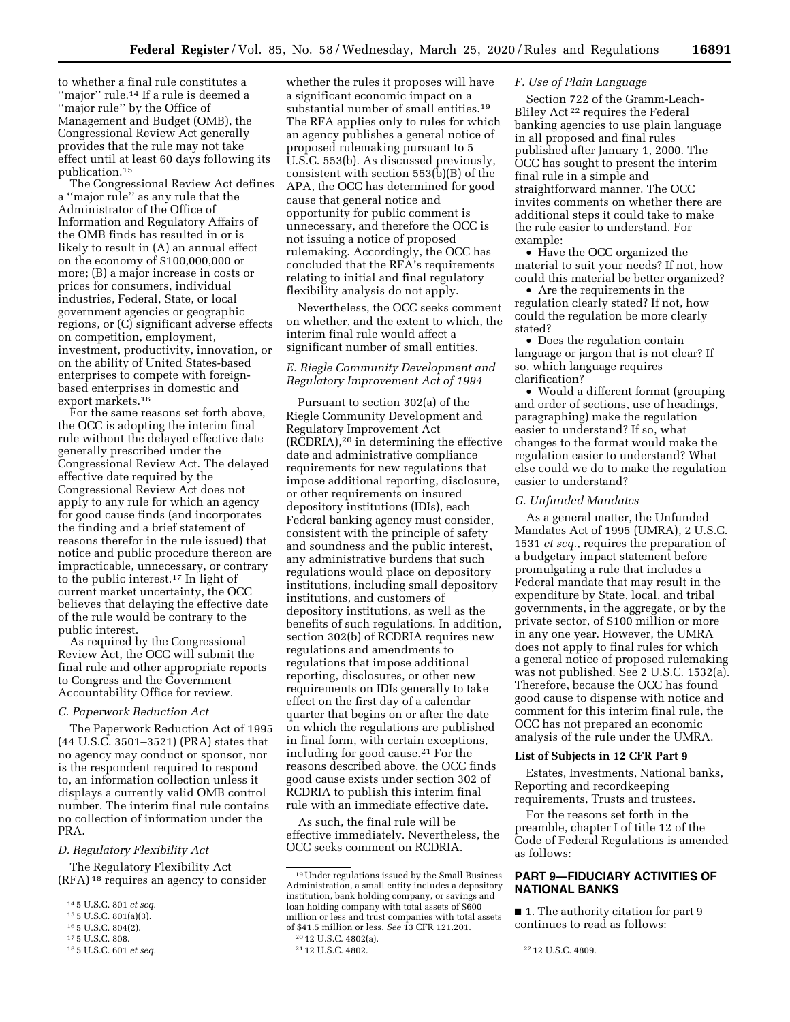to whether a final rule constitutes a "major" rule.<sup>14</sup> If a rule is deemed a ''major rule'' by the Office of Management and Budget (OMB), the Congressional Review Act generally provides that the rule may not take effect until at least 60 days following its publication.15

The Congressional Review Act defines a ''major rule'' as any rule that the Administrator of the Office of Information and Regulatory Affairs of the OMB finds has resulted in or is likely to result in (A) an annual effect on the economy of \$100,000,000 or more; (B) a major increase in costs or prices for consumers, individual industries, Federal, State, or local government agencies or geographic regions, or (C) significant adverse effects on competition, employment, investment, productivity, innovation, or on the ability of United States-based enterprises to compete with foreignbased enterprises in domestic and export markets.16

For the same reasons set forth above, the OCC is adopting the interim final rule without the delayed effective date generally prescribed under the Congressional Review Act. The delayed effective date required by the Congressional Review Act does not apply to any rule for which an agency for good cause finds (and incorporates the finding and a brief statement of reasons therefor in the rule issued) that notice and public procedure thereon are impracticable, unnecessary, or contrary to the public interest.17 In light of current market uncertainty, the OCC believes that delaying the effective date of the rule would be contrary to the public interest.

As required by the Congressional Review Act, the OCC will submit the final rule and other appropriate reports to Congress and the Government Accountability Office for review.

## *C. Paperwork Reduction Act*

The Paperwork Reduction Act of 1995 (44 U.S.C. 3501–3521) (PRA) states that no agency may conduct or sponsor, nor is the respondent required to respond to, an information collection unless it displays a currently valid OMB control number. The interim final rule contains no collection of information under the PRA.

### *D. Regulatory Flexibility Act*

The Regulatory Flexibility Act (RFA) 18 requires an agency to consider

whether the rules it proposes will have a significant economic impact on a substantial number of small entities.<sup>19</sup> The RFA applies only to rules for which an agency publishes a general notice of proposed rulemaking pursuant to 5 U.S.C. 553(b). As discussed previously, consistent with section 553(b)(B) of the APA, the OCC has determined for good cause that general notice and opportunity for public comment is unnecessary, and therefore the OCC is not issuing a notice of proposed rulemaking. Accordingly, the OCC has concluded that the RFA's requirements relating to initial and final regulatory flexibility analysis do not apply.

Nevertheless, the OCC seeks comment on whether, and the extent to which, the interim final rule would affect a significant number of small entities.

# *E. Riegle Community Development and Regulatory Improvement Act of 1994*

Pursuant to section 302(a) of the Riegle Community Development and Regulatory Improvement Act (RCDRIA),20 in determining the effective date and administrative compliance requirements for new regulations that impose additional reporting, disclosure, or other requirements on insured depository institutions (IDIs), each Federal banking agency must consider, consistent with the principle of safety and soundness and the public interest, any administrative burdens that such regulations would place on depository institutions, including small depository institutions, and customers of depository institutions, as well as the benefits of such regulations. In addition, section 302(b) of RCDRIA requires new regulations and amendments to regulations that impose additional reporting, disclosures, or other new requirements on IDIs generally to take effect on the first day of a calendar quarter that begins on or after the date on which the regulations are published in final form, with certain exceptions, including for good cause.21 For the reasons described above, the OCC finds good cause exists under section 302 of RCDRIA to publish this interim final rule with an immediate effective date.

As such, the final rule will be effective immediately. Nevertheless, the OCC seeks comment on RCDRIA.

## *F. Use of Plain Language*

Section 722 of the Gramm-Leach-Bliley Act 22 requires the Federal banking agencies to use plain language in all proposed and final rules published after January 1, 2000. The OCC has sought to present the interim final rule in a simple and straightforward manner. The OCC invites comments on whether there are additional steps it could take to make the rule easier to understand. For example:

• Have the OCC organized the material to suit your needs? If not, how could this material be better organized?

• Are the requirements in the regulation clearly stated? If not, how could the regulation be more clearly stated?

• Does the regulation contain language or jargon that is not clear? If so, which language requires clarification?

• Would a different format (grouping and order of sections, use of headings, paragraphing) make the regulation easier to understand? If so, what changes to the format would make the regulation easier to understand? What else could we do to make the regulation easier to understand?

#### *G. Unfunded Mandates*

As a general matter, the Unfunded Mandates Act of 1995 (UMRA), 2 U.S.C. 1531 *et seq.,* requires the preparation of a budgetary impact statement before promulgating a rule that includes a Federal mandate that may result in the expenditure by State, local, and tribal governments, in the aggregate, or by the private sector, of \$100 million or more in any one year. However, the UMRA does not apply to final rules for which a general notice of proposed rulemaking was not published. See 2 U.S.C. 1532(a). Therefore, because the OCC has found good cause to dispense with notice and comment for this interim final rule, the OCC has not prepared an economic analysis of the rule under the UMRA.

### **List of Subjects in 12 CFR Part 9**

Estates, Investments, National banks, Reporting and recordkeeping requirements, Trusts and trustees.

For the reasons set forth in the preamble, chapter I of title 12 of the Code of Federal Regulations is amended as follows:

# **PART 9—FIDUCIARY ACTIVITIES OF NATIONAL BANKS**

■ 1. The authority citation for part 9 continues to read as follows:

<sup>14</sup> 5 U.S.C. 801 *et seq.* 

<sup>&</sup>lt;sup>16</sup> 5 U.S.C. 804(2).<br><sup>17</sup> 5 U.S.C. 808.<br><sup>18</sup> 5 U.S.C. 601 *et seq.* 

<sup>19</sup>Under regulations issued by the Small Business Administration, a small entity includes a depository institution, bank holding company, or savings and loan holding company with total assets of \$600 million or less and trust companies with total assets of \$41.5 million or less. *See* 13 CFR 121.201.

<sup>&</sup>lt;sup>20</sup> 12 U.S.C. 4802(a).<br><sup>21</sup> 12 U.S.C. 4802.

<sup>&</sup>lt;sup>22</sup> 12 U.S.C. 4809.